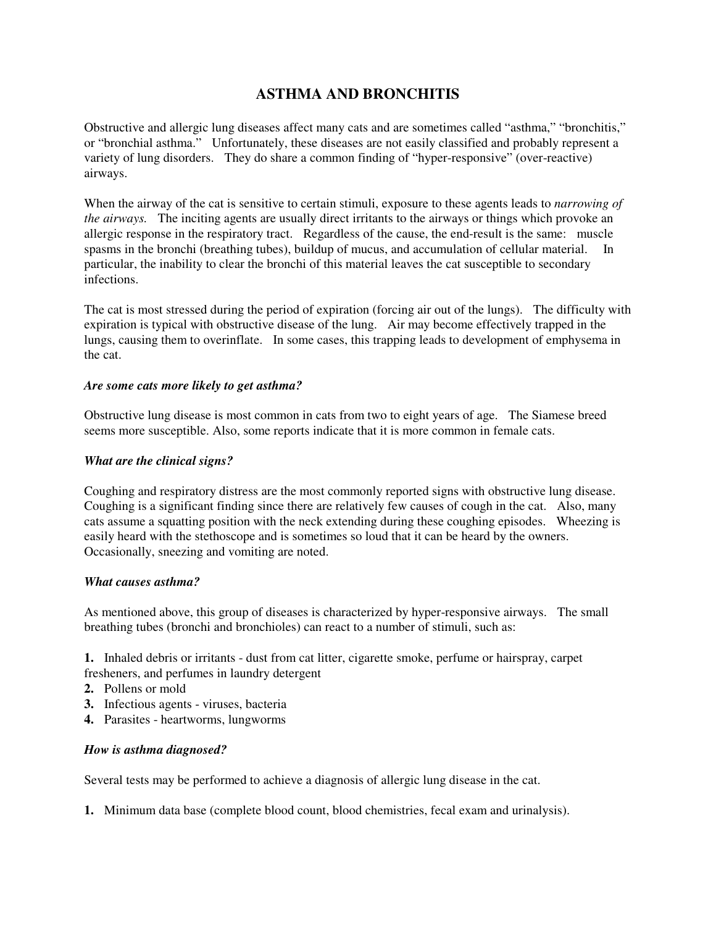# **ASTHMA AND BRONCHITIS**

Obstructive and allergic lung diseases affect many cats and are sometimes called "asthma," "bronchitis," or "bronchial asthma." Unfortunately, these diseases are not easily classified and probably represent a variety of lung disorders. They do share a common finding of "hyper-responsive" (over-reactive) airways.

When the airway of the cat is sensitive to certain stimuli, exposure to these agents leads to *narrowing of the airways.* The inciting agents are usually direct irritants to the airways or things which provoke an allergic response in the respiratory tract. Regardless of the cause, the end-result is the same: muscle spasms in the bronchi (breathing tubes), buildup of mucus, and accumulation of cellular material. In particular, the inability to clear the bronchi of this material leaves the cat susceptible to secondary infections.

The cat is most stressed during the period of expiration (forcing air out of the lungs). The difficulty with expiration is typical with obstructive disease of the lung. Air may become effectively trapped in the lungs, causing them to overinflate. In some cases, this trapping leads to development of emphysema in the cat.

#### *Are some cats more likely to get asthma?*

Obstructive lung disease is most common in cats from two to eight years of age. The Siamese breed seems more susceptible. Also, some reports indicate that it is more common in female cats.

#### *What are the clinical signs?*

Coughing and respiratory distress are the most commonly reported signs with obstructive lung disease. Coughing is a significant finding since there are relatively few causes of cough in the cat. Also, many cats assume a squatting position with the neck extending during these coughing episodes. Wheezing is easily heard with the stethoscope and is sometimes so loud that it can be heard by the owners. Occasionally, sneezing and vomiting are noted.

## *What causes asthma?*

As mentioned above, this group of diseases is characterized by hyper-responsive airways. The small breathing tubes (bronchi and bronchioles) can react to a number of stimuli, such as:

**1.** Inhaled debris or irritants - dust from cat litter, cigarette smoke, perfume or hairspray, carpet

- fresheners, and perfumes in laundry detergent
- **2.** Pollens or mold
- **3.** Infectious agents viruses, bacteria
- **4.** Parasites heartworms, lungworms

## *How is asthma diagnosed?*

Several tests may be performed to achieve a diagnosis of allergic lung disease in the cat.

**1.** Minimum data base (complete blood count, blood chemistries, fecal exam and urinalysis).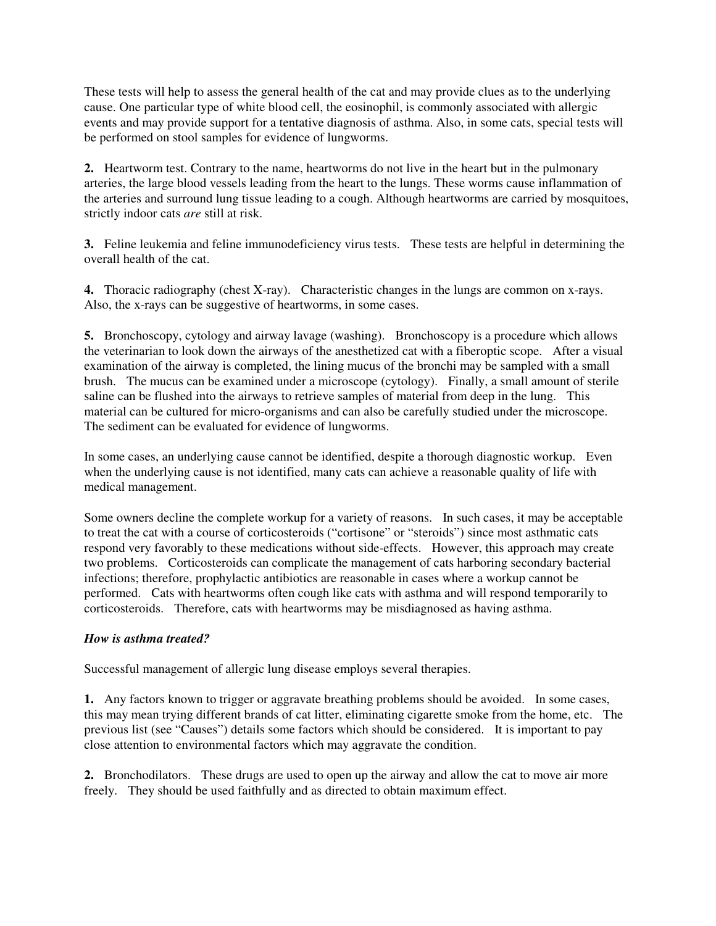These tests will help to assess the general health of the cat and may provide clues as to the underlying cause. One particular type of white blood cell, the eosinophil, is commonly associated with allergic events and may provide support for a tentative diagnosis of asthma. Also, in some cats, special tests will be performed on stool samples for evidence of lungworms.

**2.** Heartworm test. Contrary to the name, heartworms do not live in the heart but in the pulmonary arteries, the large blood vessels leading from the heart to the lungs. These worms cause inflammation of the arteries and surround lung tissue leading to a cough. Although heartworms are carried by mosquitoes, strictly indoor cats *are* still at risk.

**3.** Feline leukemia and feline immunodeficiency virus tests. These tests are helpful in determining the overall health of the cat.

**4.** Thoracic radiography (chest X-ray). Characteristic changes in the lungs are common on x-rays. Also, the x-rays can be suggestive of heartworms, in some cases.

**5.** Bronchoscopy, cytology and airway lavage (washing). Bronchoscopy is a procedure which allows the veterinarian to look down the airways of the anesthetized cat with a fiberoptic scope. After a visual examination of the airway is completed, the lining mucus of the bronchi may be sampled with a small brush. The mucus can be examined under a microscope (cytology). Finally, a small amount of sterile saline can be flushed into the airways to retrieve samples of material from deep in the lung. This material can be cultured for micro-organisms and can also be carefully studied under the microscope. The sediment can be evaluated for evidence of lungworms.

In some cases, an underlying cause cannot be identified, despite a thorough diagnostic workup. Even when the underlying cause is not identified, many cats can achieve a reasonable quality of life with medical management.

Some owners decline the complete workup for a variety of reasons. In such cases, it may be acceptable to treat the cat with a course of corticosteroids ("cortisone" or "steroids") since most asthmatic cats respond very favorably to these medications without side-effects. However, this approach may create two problems. Corticosteroids can complicate the management of cats harboring secondary bacterial infections; therefore, prophylactic antibiotics are reasonable in cases where a workup cannot be performed. Cats with heartworms often cough like cats with asthma and will respond temporarily to corticosteroids. Therefore, cats with heartworms may be misdiagnosed as having asthma.

## *How is asthma treated?*

Successful management of allergic lung disease employs several therapies.

**1.** Any factors known to trigger or aggravate breathing problems should be avoided. In some cases, this may mean trying different brands of cat litter, eliminating cigarette smoke from the home, etc. The previous list (see "Causes") details some factors which should be considered. It is important to pay close attention to environmental factors which may aggravate the condition.

**2.** Bronchodilators. These drugs are used to open up the airway and allow the cat to move air more freely. They should be used faithfully and as directed to obtain maximum effect.